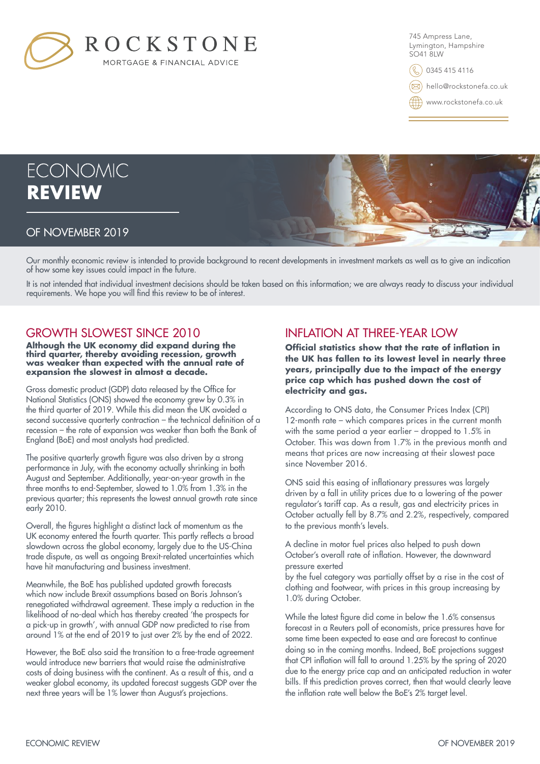

745 Ampress Lane, Lymington, Hampshire SO41 8LW

0345 415 4116

hello@rockstonefa.co.uk

www.rockstonefa.co.uk



Our monthly economic review is intended to provide background to recent developments in investment markets as well as to give an indication of how some key issues could impact in the future.

It is not intended that individual investment decisions should be taken based on this information; we are always ready to discuss your individual requirements. We hope you will find this review to be of interest.

### GROWTH SLOWEST SINCE 2010

**Although the UK economy did expand during the third quarter, thereby avoiding recession, growth was weaker than expected with the annual rate of expansion the slowest in almost a decade.**

Gross domestic product (GDP) data released by the Office for National Statistics (ONS) showed the economy grew by 0.3% in the third quarter of 2019. While this did mean the UK avoided a second successive quarterly contraction – the technical definition of a recession – the rate of expansion was weaker than both the Bank of England (BoE) and most analysts had predicted.

The positive quarterly growth figure was also driven by a strong performance in July, with the economy actually shrinking in both August and September. Additionally, year-on-year growth in the three months to end-September, slowed to 1.0% from 1.3% in the previous quarter; this represents the lowest annual growth rate since early 2010.

Overall, the figures highlight a distinct lack of momentum as the UK economy entered the fourth quarter. This partly reflects a broad slowdown across the global economy, largely due to the US-China trade dispute, as well as ongoing Brexit-related uncertainties which have hit manufacturing and business investment.

Meanwhile, the BoE has published updated growth forecasts which now include Brexit assumptions based on Boris Johnson's renegotiated withdrawal agreement. These imply a reduction in the likelihood of no-deal which has thereby created 'the prospects for a pick-up in growth', with annual GDP now predicted to rise from around 1% at the end of 2019 to just over 2% by the end of 2022.

However, the BoE also said the transition to a free-trade agreement would introduce new barriers that would raise the administrative costs of doing business with the continent. As a result of this, and a weaker global economy, its updated forecast suggests GDP over the next three years will be 1% lower than August's projections.

### INFLATION AT THREE-YEAR LOW

**Official statistics show that the rate of inflation in the UK has fallen to its lowest level in nearly three years, principally due to the impact of the energy price cap which has pushed down the cost of electricity and gas.**

According to ONS data, the Consumer Prices Index (CPI) 12-month rate – which compares prices in the current month with the same period a year earlier - dropped to 1.5% in October. This was down from 1.7% in the previous month and means that prices are now increasing at their slowest pace since November 2016.

ONS said this easing of inflationary pressures was largely driven by a fall in utility prices due to a lowering of the power regulator's tariff cap. As a result, gas and electricity prices in October actually fell by 8.7% and 2.2%, respectively, compared to the previous month's levels.

A decline in motor fuel prices also helped to push down October's overall rate of inflation. However, the downward pressure exerted

by the fuel category was partially offset by a rise in the cost of clothing and footwear, with prices in this group increasing by 1.0% during October.

While the latest figure did come in below the 1.6% consensus forecast in a Reuters poll of economists, price pressures have for some time been expected to ease and are forecast to continue doing so in the coming months. Indeed, BoE projections suggest that CPI inflation will fall to around 1.25% by the spring of 2020 due to the energy price cap and an anticipated reduction in water bills. If this prediction proves correct, then that would clearly leave the inflation rate well below the BoE's 2% target level.